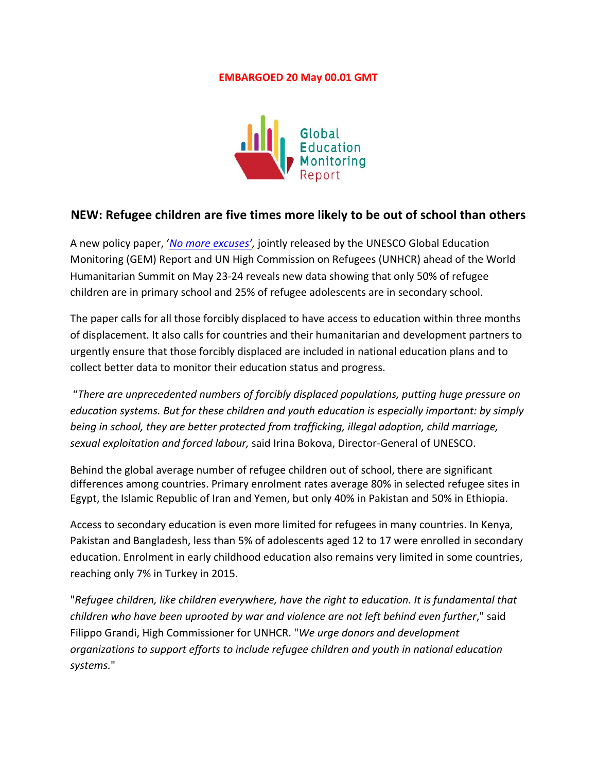## **EMBARGOED 20 May 00.01 GMT**



## **NEW: Refugee children are five times more likely to be out of school than others**

A new policy paper, '*No more excuses'*, jointly released by the UNESCO Global Education Monitoring (GEM) Report and UN High Commission on Refugees (UNHCR) ahead of the World Humanitarian Summit on May 23-24 reveals new data showing that only 50% of refugee children are in primary school and 25% of refugee adolescents are in secondary school.

The paper calls for all those forcibly displaced to have access to education within three months of displacement. It also calls for countries and their humanitarian and development partners to urgently ensure that those forcibly displaced are included in national education plans and to collect better data to monitor their education status and progress.

"*There are unprecedented numbers of forcibly displaced populations, putting huge pressure on education systems. But for these children and youth education is especially important: by simply being* in school, they are better protected from trafficking, illegal adoption, child marriage, sexual exploitation and forced labour, said Irina Bokova, Director-General of UNESCO.

Behind the global average number of refugee children out of school, there are significant differences among countries. Primary enrolment rates average 80% in selected refugee sites in Egypt, the Islamic Republic of Iran and Yemen, but only 40% in Pakistan and 50% in Ethiopia.

Access to secondary education is even more limited for refugees in many countries. In Kenya, Pakistan and Bangladesh, less than 5% of adolescents aged 12 to 17 were enrolled in secondary education. Enrolment in early childhood education also remains very limited in some countries, reaching only 7% in Turkey in 2015.

"*Refugee children, like children everywhere, have the right to education. It is fundamental that children* who have been uprooted by war and violence are not left behind even further," said Filippo Grandi, High Commissioner for UNHCR. "We urge donors and development organizations to support efforts to include refugee children and youth in national education *systems.*"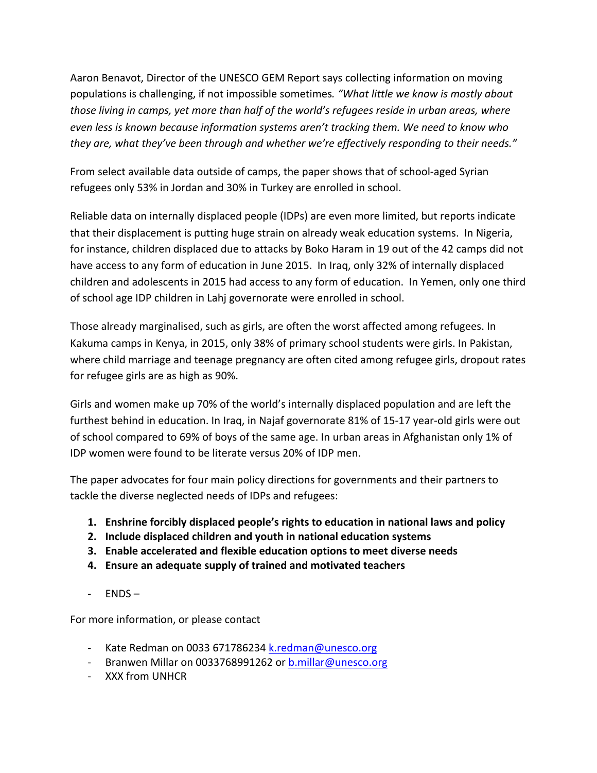Aaron Benavot, Director of the UNESCO GEM Report says collecting information on moving populations is challenging, if not impossible sometimes. "What little we know is mostly about *those living in camps, yet more than half of the world's refugees reside in urban areas, where even less is known because information systems aren't tracking them. We need to know who* they are, what they've been through and whether we're effectively responding to their needs."

From select available data outside of camps, the paper shows that of school-aged Syrian refugees only 53% in Jordan and 30% in Turkey are enrolled in school.

Reliable data on internally displaced people (IDPs) are even more limited, but reports indicate that their displacement is putting huge strain on already weak education systems. In Nigeria, for instance, children displaced due to attacks by Boko Haram in 19 out of the 42 camps did not have access to any form of education in June 2015. In Iraq, only 32% of internally displaced children and adolescents in 2015 had access to any form of education. In Yemen, only one third of school age IDP children in Lahj governorate were enrolled in school.

Those already marginalised, such as girls, are often the worst affected among refugees. In Kakuma camps in Kenya, in 2015, only 38% of primary school students were girls. In Pakistan, where child marriage and teenage pregnancy are often cited among refugee girls, dropout rates for refugee girls are as high as 90%.

Girls and women make up 70% of the world's internally displaced population and are left the furthest behind in education. In Iraq, in Najaf governorate 81% of 15-17 year-old girls were out of school compared to 69% of boys of the same age. In urban areas in Afghanistan only 1% of IDP women were found to be literate versus 20% of IDP men. 

The paper advocates for four main policy directions for governments and their partners to tackle the diverse neglected needs of IDPs and refugees:

- **1.** Enshrine forcibly displaced people's rights to education in national laws and policy
- **2. Include displaced children and youth in national education systems**
- **3.** Enable accelerated and flexible education options to meet diverse needs
- **4. Ensure an adequate supply of trained and motivated teachers**
- $-$  ENDS $-$

For more information, or please contact

- Kate Redman on 0033 671786234 k.redman@unesco.org
- Branwen Millar on 0033768991262 or b.millar@unesco.org
- XXX from UNHCR